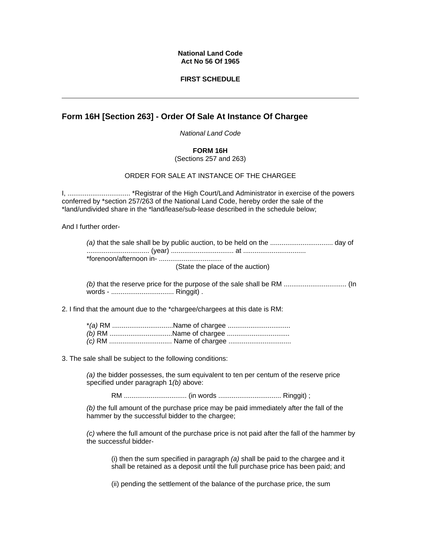## **National Land Code Act No 56 Of 1965**

## **FIRST SCHEDULE**

# **Form 16H [Section 263] - Order Of Sale At Instance Of Chargee**

*National Land Code* 

### **FORM 16H**

(Sections 257 and 263)

### ORDER FOR SALE AT INSTANCE OF THE CHARGEE

I, ................................. \*Registrar of the High Court/Land Administrator in exercise of the powers conferred by \*section 257/263 of the National Land Code, hereby order the sale of the \*land/undivided share in the \*land/lease/sub-lease described in the schedule below;

And I further order-

(State the place of the auction)

*(b)* that the reserve price for the purpose of the sale shall be RM ................................. (In words - ................................. Ringgit) .

2. I find that the amount due to the \*chargee/chargees at this date is RM:

3. The sale shall be subject to the following conditions:

*(a)* the bidder possesses, the sum equivalent to ten per centum of the reserve price specified under paragraph 1*(b)* above:

RM ................................. (in words ................................. Ringgit) ;

*(b)* the full amount of the purchase price may be paid immediately after the fall of the hammer by the successful bidder to the chargee;

*(c)* where the full amount of the purchase price is not paid after the fall of the hammer by the successful bidder-

(i) then the sum specified in paragraph *(a)* shall be paid to the chargee and it shall be retained as a deposit until the full purchase price has been paid; and

(ii) pending the settlement of the balance of the purchase price, the sum